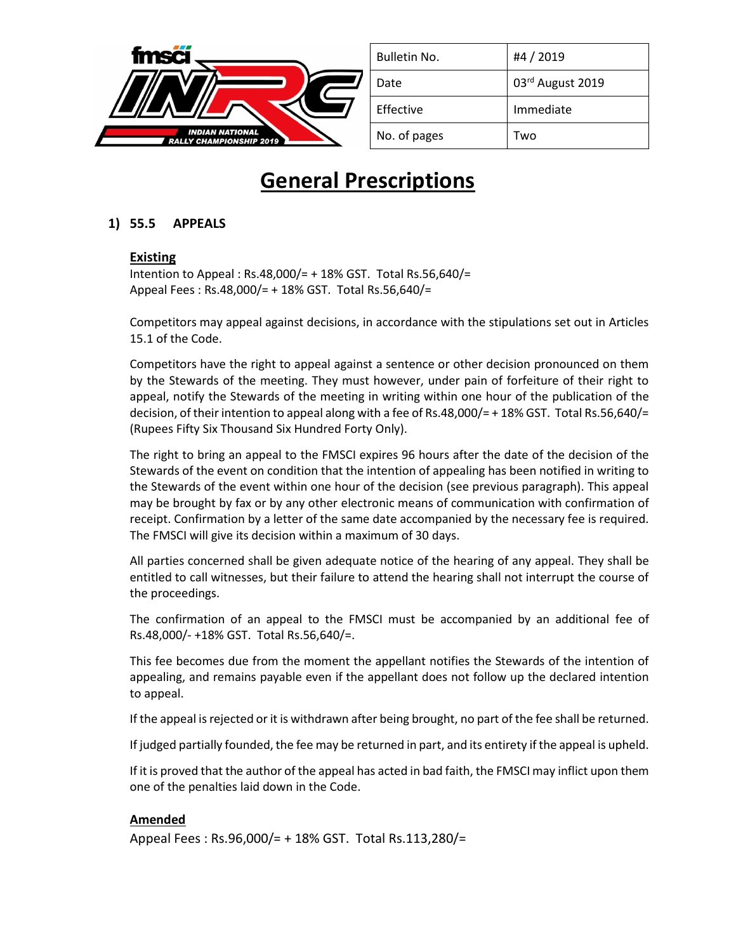

| Bulletin No. | #4 / 2019        |
|--------------|------------------|
| Date         | 03rd August 2019 |
| Effective    | Immediate        |
| No. of pages | Two              |

# **General Prescriptions**

## **1) 55.5 APPEALS**

### **Existing**

Intention to Appeal : Rs.48,000/= + 18% GST. Total Rs.56,640/= Appeal Fees : Rs.48,000/= + 18% GST. Total Rs.56,640/=

Competitors may appeal against decisions, in accordance with the stipulations set out in Articles 15.1 of the Code.

Competitors have the right to appeal against a sentence or other decision pronounced on them by the Stewards of the meeting. They must however, under pain of forfeiture of their right to appeal, notify the Stewards of the meeting in writing within one hour of the publication of the decision, of their intention to appeal along with a fee of Rs.48,000/= + 18% GST. Total Rs.56,640/= (Rupees Fifty Six Thousand Six Hundred Forty Only).

The right to bring an appeal to the FMSCI expires 96 hours after the date of the decision of the Stewards of the event on condition that the intention of appealing has been notified in writing to the Stewards of the event within one hour of the decision (see previous paragraph). This appeal may be brought by fax or by any other electronic means of communication with confirmation of receipt. Confirmation by a letter of the same date accompanied by the necessary fee is required. The FMSCI will give its decision within a maximum of 30 days.

All parties concerned shall be given adequate notice of the hearing of any appeal. They shall be entitled to call witnesses, but their failure to attend the hearing shall not interrupt the course of the proceedings.

The confirmation of an appeal to the FMSCI must be accompanied by an additional fee of Rs.48,000/- +18% GST. Total Rs.56,640/=.

This fee becomes due from the moment the appellant notifies the Stewards of the intention of appealing, and remains payable even if the appellant does not follow up the declared intention to appeal.

If the appeal is rejected or it is withdrawn after being brought, no part of the fee shall be returned.

If judged partially founded, the fee may be returned in part, and its entirety if the appeal is upheld.

If it is proved that the author of the appeal has acted in bad faith, the FMSCI may inflict upon them one of the penalties laid down in the Code.

#### **Amended**

Appeal Fees : Rs.96,000/= + 18% GST. Total Rs.113,280/=